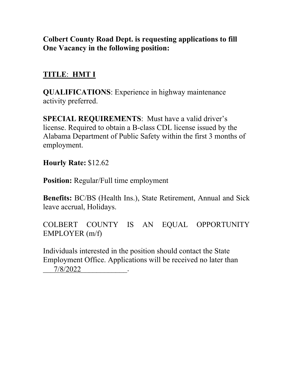## **Colbert County Road Dept. is requesting applications to fill One Vacancy in the following position:**

# **TITLE**: **HMT I**

**QUALIFICATIONS**: Experience in highway maintenance activity preferred.

**SPECIAL REQUIREMENTS**: Must have a valid driver's license. Required to obtain a B-class CDL license issued by the Alabama Department of Public Safety within the first 3 months of employment.

**Hourly Rate:** \$12.62

**Position:** Regular/Full time employment

**Benefits:** BC/BS (Health Ins.), State Retirement, Annual and Sick leave accrual, Holidays.

COLBERT COUNTY IS AN EQUAL OPPORTUNITY EMPLOYER (m/f)

Individuals interested in the position should contact the State Employment Office. Applications will be received no later than \_\_\_\_\_\_\_\_\_\_\_\_\_\_\_\_\_\_\_\_\_\_. 7/8/2022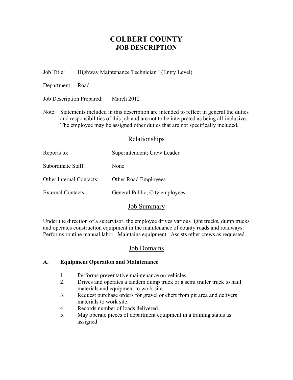## **COLBERT COUNTY JOB DESCRIPTION**

Job Title: Highway Maintenance Technician I (Entry Level)

Department: Road

Job Description Prepared: March 2012

Note: Statements included in this description are intended to reflect in general the duties and responsibilities of this job and are not to be interpreted as being all-inclusive. The employee may be assigned other duties that are not specifically included.

### Relationships

| Superintendent; Crew Leader    |
|--------------------------------|
| None                           |
| <b>Other Road Employees</b>    |
| General Public; City employees |
|                                |

## Job Summary

Under the direction of a supervisor, the employee drives various light trucks, dump trucks and operates construction equipment in the maintenance of county roads and roadways. Performs routine manual labor. Maintains equipment. Assists other crews as requested.

## Job Domains

#### **A. Equipment Operation and Maintenance**

- 1. Performs preventative maintenance on vehicles.
- 2. Drives and operates a tandem dump truck or a semi trailer truck to haul materials and equipment to work site.
- 3. Request purchase orders for gravel or chert from pit area and delivers materials to work site.
- 4. Records number of loads delivered.
- 5. May operate pieces of department equipment in a training status as assigned.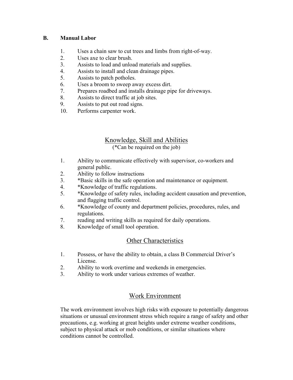#### **B. Manual Labor**

- 1. Uses a chain saw to cut trees and limbs from right-of-way.
- 2. Uses axe to clear brush.
- 3. Assists to load and unload materials and supplies.
- 4. Assists to install and clean drainage pipes.
- 5. Assists to patch potholes.
- 6. Uses a broom to sweep away excess dirt.
- 7. Prepares roadbed and installs drainage pipe for driveways.
- 8. Assists to direct traffic at job sites.
- 9. Assists to put out road signs.
- 10. Performs carpenter work.

# Knowledge, Skill and Abilities

(\*Can be required on the job)

- 1. Ability to communicate effectively with supervisor, co-workers and general public.
- 2. Ability to follow instructions
- 3. \*Basic skills in the safe operation and maintenance or equipment.
- 4. \*Knowledge of traffic regulations.
- 5. \*Knowledge of safety rules, including accident causation and prevention, and flagging traffic control.
- 6. \*Knowledge of county and department policies, procedures, rules, and regulations.
- 7. reading and writing skills as required for daily operations.
- 8. Knowledge of small tool operation.

## Other Characteristics

- 1. Possess, or have the ability to obtain, a class B Commercial Driver's License.
- 2. Ability to work overtime and weekends in emergencies.
- 3. Ability to work under various extremes of weather.

## Work Environment

The work environment involves high risks with exposure to potentially dangerous situations or unusual environment stress which require a range of safety and other precautions, e.g. working at great heights under extreme weather conditions, subject to physical attack or mob conditions, or similar situations where conditions cannot be controlled.